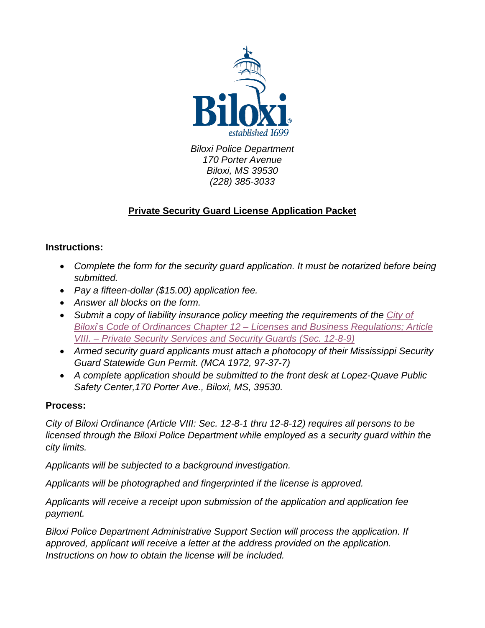

Biloxi Police Department 170 Porter Avenue Biloxi, MS 39530 (228) 385-3033

### **Private Security Guard License Application Packet**

### **Instructions:**

- Complete the form for the security quard application. It must be notarized before being submitted.
- Pay a fifteen-dollar (\$15.00) application fee.
- Answer all blocks on the form.
- Submit a copy of liability insurance policy meeting the requirements of the City of Biloxi's Code of Ordinances Chapter 12 – [Licenses and Business Regulations; Article](https://library.municode.com/ms/biloxi/codes/code_of_ordinances?nodeId=COOR_CH12LIBURE_ARTVIIIPRSESE)  VIII. – [Private Security Services and Security Guards \(Sec. 12-8-9\)](https://library.municode.com/ms/biloxi/codes/code_of_ordinances?nodeId=COOR_CH12LIBURE_ARTVIIIPRSESE)
- Armed security guard applicants must attach a photocopy of their Mississippi Security Guard Statewide Gun Permit. (MCA 1972, 97-37-7)
- A complete application should be submitted to the front desk at Lopez-Quave Public Safety Center,170 Porter Ave., Biloxi, MS, 39530.

### **Process:**

City of Biloxi Ordinance (Article VIII: Sec. 12-8-1 thru 12-8-12) requires all persons to be licensed through the Biloxi Police Department while employed as a security guard within the city limits.

Applicants will be subjected to a background investigation.

Applicants will be photographed and fingerprinted if the license is approved.

Applicants will receive a receipt upon submission of the application and application fee payment.

Biloxi Police Department Administrative Support Section will process the application. If approved, applicant will receive a letter at the address provided on the application. Instructions on how to obtain the license will be included.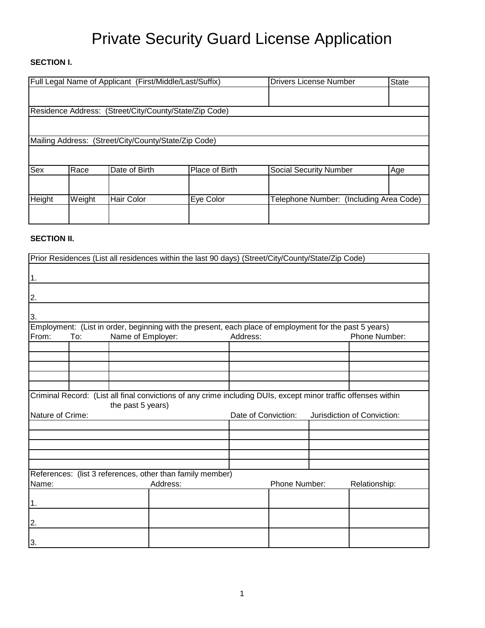## Private Security Guard License Application

### **SECTION I.**

|                                                        |        | Full Legal Name of Applicant (First/Middle/Last/Suffix) | <b>Drivers License Number</b> | State                                   |     |  |  |  |  |
|--------------------------------------------------------|--------|---------------------------------------------------------|-------------------------------|-----------------------------------------|-----|--|--|--|--|
|                                                        |        |                                                         |                               |                                         |     |  |  |  |  |
| Residence Address: (Street/City/County/State/Zip Code) |        |                                                         |                               |                                         |     |  |  |  |  |
|                                                        |        |                                                         |                               |                                         |     |  |  |  |  |
|                                                        |        | Mailing Address: (Street/City/County/State/Zip Code)    |                               |                                         |     |  |  |  |  |
|                                                        |        |                                                         |                               |                                         |     |  |  |  |  |
| Sex                                                    | Race   | Date of Birth                                           | Place of Birth                | <b>Social Security Number</b>           | Age |  |  |  |  |
|                                                        |        |                                                         |                               |                                         |     |  |  |  |  |
| Height                                                 | Weight | <b>Hair Color</b>                                       | Eye Color                     | Telephone Number: (Including Area Code) |     |  |  |  |  |
|                                                        |        |                                                         |                               |                                         |     |  |  |  |  |

#### **SECTION II.**

| Prior Residences (List all residences within the last 90 days) (Street/City/County/State/Zip Code)                                                                                                            |                                      |  |                                                                                                        |               |  |               |               |
|---------------------------------------------------------------------------------------------------------------------------------------------------------------------------------------------------------------|--------------------------------------|--|--------------------------------------------------------------------------------------------------------|---------------|--|---------------|---------------|
| 1.                                                                                                                                                                                                            |                                      |  |                                                                                                        |               |  |               |               |
|                                                                                                                                                                                                               |                                      |  |                                                                                                        |               |  |               |               |
| 2.                                                                                                                                                                                                            |                                      |  |                                                                                                        |               |  |               |               |
| 3.                                                                                                                                                                                                            |                                      |  |                                                                                                        |               |  |               |               |
|                                                                                                                                                                                                               |                                      |  | Employment: (List in order, beginning with the present, each place of employment for the past 5 years) |               |  |               |               |
| From:                                                                                                                                                                                                         | To:<br>Name of Employer:<br>Address: |  |                                                                                                        | Phone Number: |  |               |               |
|                                                                                                                                                                                                               |                                      |  |                                                                                                        |               |  |               |               |
|                                                                                                                                                                                                               |                                      |  |                                                                                                        |               |  |               |               |
|                                                                                                                                                                                                               |                                      |  |                                                                                                        |               |  |               |               |
|                                                                                                                                                                                                               |                                      |  |                                                                                                        |               |  |               |               |
| Criminal Record: (List all final convictions of any crime including DUIs, except minor traffic offenses within<br>the past 5 years)<br>Nature of Crime:<br>Date of Conviction:<br>Jurisdiction of Conviction: |                                      |  |                                                                                                        |               |  |               |               |
|                                                                                                                                                                                                               |                                      |  |                                                                                                        |               |  |               |               |
|                                                                                                                                                                                                               |                                      |  |                                                                                                        |               |  |               |               |
|                                                                                                                                                                                                               |                                      |  |                                                                                                        |               |  |               |               |
|                                                                                                                                                                                                               |                                      |  |                                                                                                        |               |  |               |               |
|                                                                                                                                                                                                               |                                      |  | References: (list 3 references, other than family member)                                              |               |  |               |               |
| Name:                                                                                                                                                                                                         |                                      |  | Address:                                                                                               |               |  | Phone Number: | Relationship: |
| 1.                                                                                                                                                                                                            |                                      |  |                                                                                                        |               |  |               |               |
| 2.                                                                                                                                                                                                            |                                      |  |                                                                                                        |               |  |               |               |
| 3.                                                                                                                                                                                                            |                                      |  |                                                                                                        |               |  |               |               |